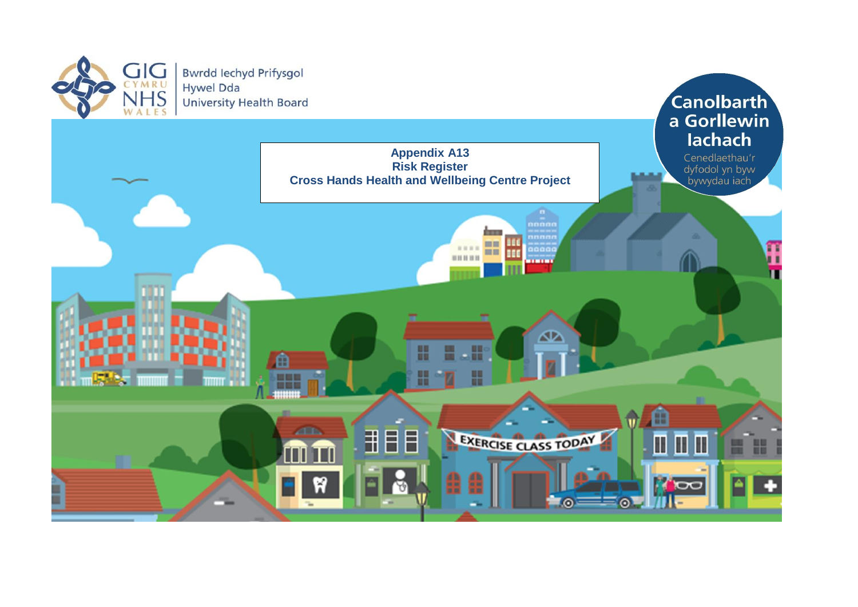

**Bwrdd lechyd Prifysgol Hywel Dda University Health Board**